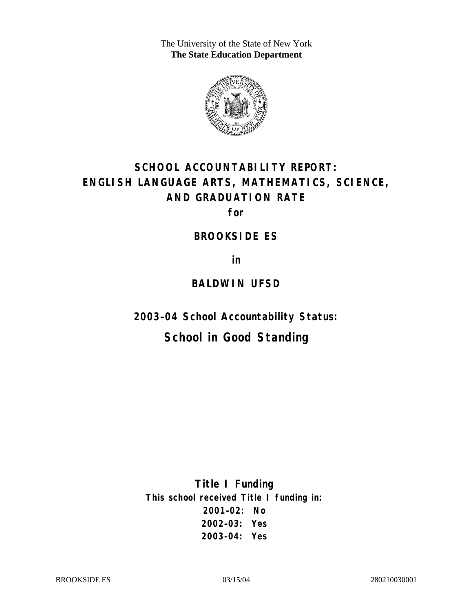The University of the State of New York **The State Education Department** 



# **SCHOOL ACCOUNTABILITY REPORT: ENGLISH LANGUAGE ARTS, MATHEMATICS, SCIENCE, AND GRADUATION RATE**

**for** 

#### **BROOKSIDE ES**

**in** 

### **BALDWIN UFSD**

**2003–04 School Accountability Status:** 

# **School in Good Standing**

**Title I Funding This school received Title I funding in: 2001–02: No 2002–03: Yes 2003–04: Yes**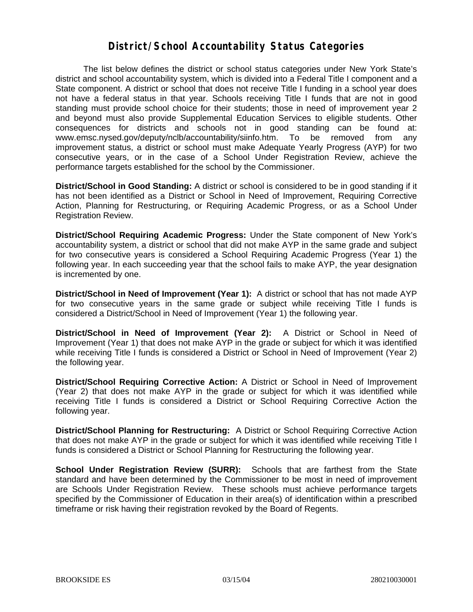### **District/School Accountability Status Categories**

The list below defines the district or school status categories under New York State's district and school accountability system, which is divided into a Federal Title I component and a State component. A district or school that does not receive Title I funding in a school year does not have a federal status in that year. Schools receiving Title I funds that are not in good standing must provide school choice for their students; those in need of improvement year 2 and beyond must also provide Supplemental Education Services to eligible students. Other consequences for districts and schools not in good standing can be found at: www.emsc.nysed.gov/deputy/nclb/accountability/siinfo.htm. To be removed from any improvement status, a district or school must make Adequate Yearly Progress (AYP) for two consecutive years, or in the case of a School Under Registration Review, achieve the performance targets established for the school by the Commissioner.

**District/School in Good Standing:** A district or school is considered to be in good standing if it has not been identified as a District or School in Need of Improvement, Requiring Corrective Action, Planning for Restructuring, or Requiring Academic Progress, or as a School Under Registration Review.

**District/School Requiring Academic Progress:** Under the State component of New York's accountability system, a district or school that did not make AYP in the same grade and subject for two consecutive years is considered a School Requiring Academic Progress (Year 1) the following year. In each succeeding year that the school fails to make AYP, the year designation is incremented by one.

**District/School in Need of Improvement (Year 1):** A district or school that has not made AYP for two consecutive years in the same grade or subject while receiving Title I funds is considered a District/School in Need of Improvement (Year 1) the following year.

**District/School in Need of Improvement (Year 2):** A District or School in Need of Improvement (Year 1) that does not make AYP in the grade or subject for which it was identified while receiving Title I funds is considered a District or School in Need of Improvement (Year 2) the following year.

**District/School Requiring Corrective Action:** A District or School in Need of Improvement (Year 2) that does not make AYP in the grade or subject for which it was identified while receiving Title I funds is considered a District or School Requiring Corrective Action the following year.

**District/School Planning for Restructuring:** A District or School Requiring Corrective Action that does not make AYP in the grade or subject for which it was identified while receiving Title I funds is considered a District or School Planning for Restructuring the following year.

**School Under Registration Review (SURR):** Schools that are farthest from the State standard and have been determined by the Commissioner to be most in need of improvement are Schools Under Registration Review. These schools must achieve performance targets specified by the Commissioner of Education in their area(s) of identification within a prescribed timeframe or risk having their registration revoked by the Board of Regents.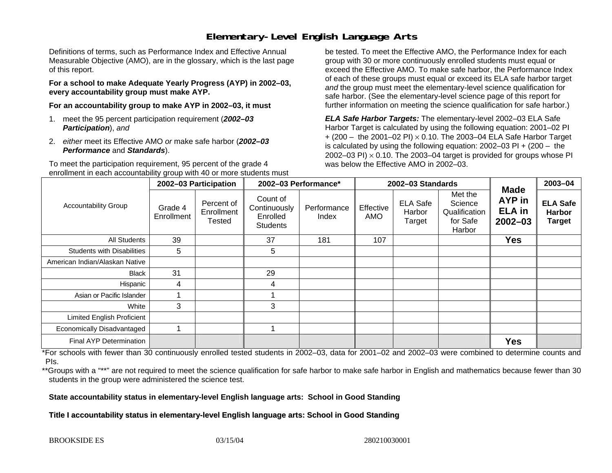# **Elementary-Level English Language Arts**

Definitions of terms, such as Performance Index and Effective Annual Measurable Objective (AMO), are in the glossary, which is the last page of this report.

**For a school to make Adequate Yearly Progress (AYP) in 2002–03, every accountability group must make AYP.** 

**For an accountability group to make AYP in 2002–03, it must** 

- 1. meet the 95 percent participation requirement (*2002–03 Participation*), *and*
- 2. *either* meet its Effective AMO *or* make safe harbor (*2002–03 Performance* and *Standards*).

To meet the participation requirement, 95 percent of the grade 4 enrollment in each accountability group with 40 or more students must

be tested. To meet the Effective AMO, the Performance Index for each group with 30 or more continuously enrolled students must equal or exceed the Effective AMO. To make safe harbor, the Performance Index of each of these groups must equal or exceed its ELA safe harbor target *and* the group must meet the elementary-level science qualification for safe harbor. (See the elementary-level science page of this report for further information on meeting the science qualification for safe harbor.)

*ELA Safe Harbor Targets:* The elementary-level 2002–03 ELA Safe Harbor Target is calculated by using the following equation: 2001–02 PI + (200 – the 2001–02 PI) <sup>×</sup> 0.10. The 2003–04 ELA Safe Harbor Target is calculated by using the following equation: 2002–03 PI + (200 – the 2002–03 PI)  $\times$  0.10. The 2003–04 target is provided for groups whose PI was below the Effective AMO in 2002–03.

| <b>Accountability Group</b>       | 2002-03 Participation |                                    | 2002-03 Performance*                                    |                      | 2002-03 Standards |                                     |                                                           |                                                              | 2003-04                                    |
|-----------------------------------|-----------------------|------------------------------------|---------------------------------------------------------|----------------------|-------------------|-------------------------------------|-----------------------------------------------------------|--------------------------------------------------------------|--------------------------------------------|
|                                   | Grade 4<br>Enrollment | Percent of<br>Enrollment<br>Tested | Count of<br>Continuously<br>Enrolled<br><b>Students</b> | Performance<br>Index | Effective<br>AMO  | <b>ELA Safe</b><br>Harbor<br>Target | Met the<br>Science<br>Qualification<br>for Safe<br>Harbor | <b>Made</b><br><b>AYP</b> in<br><b>ELA</b> in<br>$2002 - 03$ | <b>ELA Safe</b><br>Harbor<br><b>Target</b> |
| All Students                      | 39                    |                                    | 37                                                      | 181                  | 107               |                                     |                                                           | <b>Yes</b>                                                   |                                            |
| <b>Students with Disabilities</b> | 5                     |                                    | 5                                                       |                      |                   |                                     |                                                           |                                                              |                                            |
| American Indian/Alaskan Native    |                       |                                    |                                                         |                      |                   |                                     |                                                           |                                                              |                                            |
| <b>Black</b>                      | 31                    |                                    | 29                                                      |                      |                   |                                     |                                                           |                                                              |                                            |
| Hispanic                          | 4                     |                                    | 4                                                       |                      |                   |                                     |                                                           |                                                              |                                            |
| Asian or Pacific Islander         |                       |                                    |                                                         |                      |                   |                                     |                                                           |                                                              |                                            |
| White                             | 3                     |                                    | 3                                                       |                      |                   |                                     |                                                           |                                                              |                                            |
| <b>Limited English Proficient</b> |                       |                                    |                                                         |                      |                   |                                     |                                                           |                                                              |                                            |
| Economically Disadvantaged        |                       |                                    |                                                         |                      |                   |                                     |                                                           |                                                              |                                            |
| <b>Final AYP Determination</b>    |                       |                                    |                                                         |                      |                   |                                     |                                                           | <b>Yes</b>                                                   |                                            |

\*For schools with fewer than 30 continuously enrolled tested students in 2002–03, data for 2001–02 and 2002–03 were combined to determine counts and PIs.

\*\*Groups with a "\*\*" are not required to meet the science qualification for safe harbor to make safe harbor in English and mathematics because fewer than 30 students in the group were administered the science test.

**State accountability status in elementary-level English language arts: School in Good Standing** 

Title I accountability status in elementary-level English language arts: School in Good Standing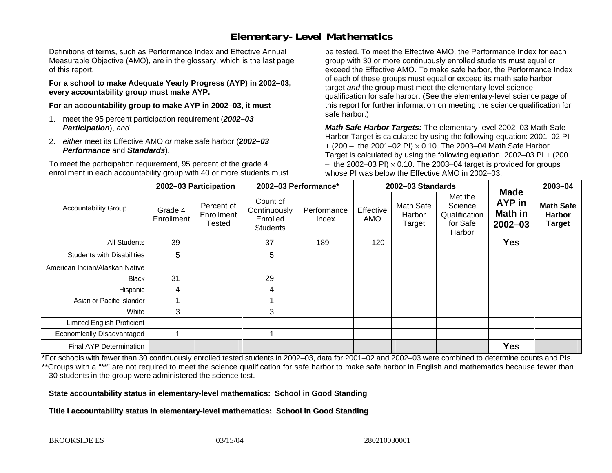# **Elementary-Level Mathematics**

Definitions of terms, such as Performance Index and Effective Annual Measurable Objective (AMO), are in the glossary, which is the last page of this report.

**For a school to make Adequate Yearly Progress (AYP) in 2002–03, every accountability group must make AYP.** 

**For an accountability group to make AYP in 2002–03, it must** 

- 1. meet the 95 percent participation requirement (*2002–03 Participation*), *and*
- 2. *either* meet its Effective AMO *or* make safe harbor (*2002–03 Performance* and *Standards*).

To meet the participation requirement, 95 percent of the grade 4 enrollment in each accountability group with 40 or more students must

be tested. To meet the Effective AMO, the Performance Index for each group with 30 or more continuously enrolled students must equal or exceed the Effective AMO. To make safe harbor, the Performance Index of each of these groups must equal or exceed its math safe harbor target *and* the group must meet the elementary-level science qualification for safe harbor. (See the elementary-level science page of this report for further information on meeting the science qualification for safe harbor.)

*Math Safe Harbor Targets:* The elementary-level 2002–03 Math Safe Harbor Target is calculated by using the following equation: 2001–02 PI + (200 – the 2001–02 PI) × 0.10. The 2003–04 Math Safe Harbor Target is calculated by using the following equation: 2002–03 PI + (200  $-$  the 2002–03 PI)  $\times$  0.10. The 2003–04 target is provided for groups whose PI was below the Effective AMO in 2002–03.

| <b>Accountability Group</b>       | 2002-03 Participation |                                           | 2002-03 Performance*                                    |                      | 2002-03 Standards |                                      |                                                           |                                                        | 2003-04                                            |
|-----------------------------------|-----------------------|-------------------------------------------|---------------------------------------------------------|----------------------|-------------------|--------------------------------------|-----------------------------------------------------------|--------------------------------------------------------|----------------------------------------------------|
|                                   | Grade 4<br>Enrollment | Percent of<br>Enrollment<br><b>Tested</b> | Count of<br>Continuously<br>Enrolled<br><b>Students</b> | Performance<br>Index | Effective<br>AMO  | <b>Math Safe</b><br>Harbor<br>Target | Met the<br>Science<br>Qualification<br>for Safe<br>Harbor | <b>Made</b><br>AYP in<br><b>Math in</b><br>$2002 - 03$ | <b>Math Safe</b><br><b>Harbor</b><br><b>Target</b> |
| All Students                      | 39                    |                                           | 37                                                      | 189                  | 120               |                                      |                                                           | <b>Yes</b>                                             |                                                    |
| <b>Students with Disabilities</b> | 5                     |                                           | 5                                                       |                      |                   |                                      |                                                           |                                                        |                                                    |
| American Indian/Alaskan Native    |                       |                                           |                                                         |                      |                   |                                      |                                                           |                                                        |                                                    |
| <b>Black</b>                      | 31                    |                                           | 29                                                      |                      |                   |                                      |                                                           |                                                        |                                                    |
| Hispanic                          | 4                     |                                           | 4                                                       |                      |                   |                                      |                                                           |                                                        |                                                    |
| Asian or Pacific Islander         |                       |                                           |                                                         |                      |                   |                                      |                                                           |                                                        |                                                    |
| White                             | 3                     |                                           | 3                                                       |                      |                   |                                      |                                                           |                                                        |                                                    |
| <b>Limited English Proficient</b> |                       |                                           |                                                         |                      |                   |                                      |                                                           |                                                        |                                                    |
| Economically Disadvantaged        |                       |                                           |                                                         |                      |                   |                                      |                                                           |                                                        |                                                    |
| <b>Final AYP Determination</b>    |                       |                                           |                                                         |                      |                   |                                      |                                                           | <b>Yes</b>                                             |                                                    |

\*For schools with fewer than 30 continuously enrolled tested students in 2002–03, data for 2001–02 and 2002–03 were combined to determine counts and PIs. \*\*Groups with a "\*\*" are not required to meet the science qualification for safe harbor to make safe harbor in English and mathematics because fewer than 30 students in the group were administered the science test.

**State accountability status in elementary-level mathematics: School in Good Standing** 

Title I accountability status in elementary-level mathematics: School in Good Standing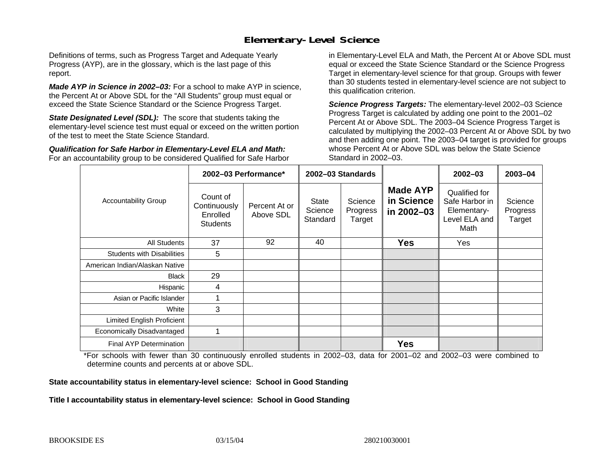## **Elementary-Level Science**

Definitions of terms, such as Progress Target and Adequate Yearly Progress (AYP), are in the glossary, which is the last page of this report.

*Made AYP in Science in 2002–03:* For a school to make AYP in science, the Percent At or Above SDL for the "All Students" group must equal or exceed the State Science Standard or the Science Progress Target.

**State Designated Level (SDL):** The score that students taking the elementary-level science test must equal or exceed on the written portion of the test to meet the State Science Standard.

*Qualification for Safe Harbor in Elementary-Level ELA and Math:* For an accountability group to be considered Qualified for Safe Harbor in Elementary-Level ELA and Math, the Percent At or Above SDL must equal or exceed the State Science Standard or the Science Progress Target in elementary-level science for that group. Groups with fewer than 30 students tested in elementary-level science are not subject to this qualification criterion.

*Science Progress Targets:* The elementary-level 2002–03 Science Progress Target is calculated by adding one point to the 2001–02 Percent At or Above SDL. The 2003–04 Science Progress Target is calculated by multiplying the 2002–03 Percent At or Above SDL by two and then adding one point. The 2003–04 target is provided for groups whose Percent At or Above SDL was below the State Science Standard in 2002–03.

|                                   |                                                         | 2002-03 Performance*       | 2002-03 Standards                   |                               |                                             | $2002 - 03$                                                             | $2003 - 04$                   |
|-----------------------------------|---------------------------------------------------------|----------------------------|-------------------------------------|-------------------------------|---------------------------------------------|-------------------------------------------------------------------------|-------------------------------|
| <b>Accountability Group</b>       | Count of<br>Continuously<br>Enrolled<br><b>Students</b> | Percent At or<br>Above SDL | <b>State</b><br>Science<br>Standard | Science<br>Progress<br>Target | <b>Made AYP</b><br>in Science<br>in 2002-03 | Qualified for<br>Safe Harbor in<br>Elementary-<br>Level ELA and<br>Math | Science<br>Progress<br>Target |
| All Students                      | 37                                                      | 92                         | 40                                  |                               | <b>Yes</b>                                  | Yes                                                                     |                               |
| <b>Students with Disabilities</b> | 5                                                       |                            |                                     |                               |                                             |                                                                         |                               |
| American Indian/Alaskan Native    |                                                         |                            |                                     |                               |                                             |                                                                         |                               |
| <b>Black</b>                      | 29                                                      |                            |                                     |                               |                                             |                                                                         |                               |
| Hispanic                          | 4                                                       |                            |                                     |                               |                                             |                                                                         |                               |
| Asian or Pacific Islander         |                                                         |                            |                                     |                               |                                             |                                                                         |                               |
| White                             | 3                                                       |                            |                                     |                               |                                             |                                                                         |                               |
| Limited English Proficient        |                                                         |                            |                                     |                               |                                             |                                                                         |                               |
| Economically Disadvantaged        |                                                         |                            |                                     |                               |                                             |                                                                         |                               |
| <b>Final AYP Determination</b>    |                                                         |                            |                                     |                               | <b>Yes</b>                                  |                                                                         |                               |

\*For schools with fewer than 30 continuously enrolled students in 2002–03, data for 2001–02 and 2002–03 were combined to determine counts and percents at or above SDL.

#### **State accountability status in elementary-level science: School in Good Standing**

#### Title I accountability status in elementary-level science: School in Good Standing